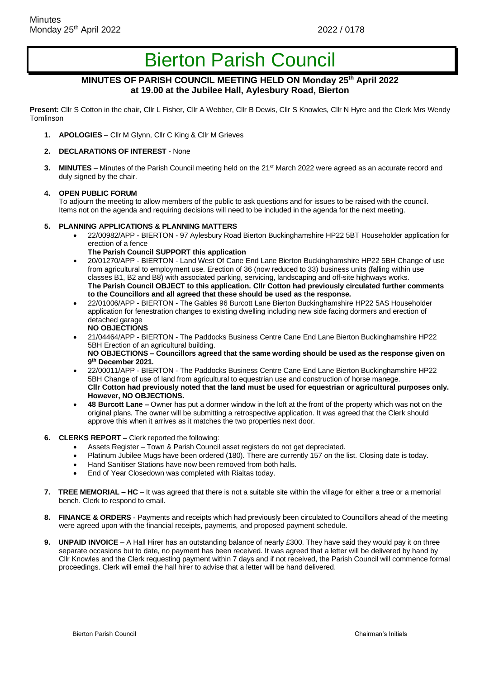# Bierton Parish Council

# **MINUTES OF PARISH COUNCIL MEETING HELD ON Monday 25th April 2022 at 19.00 at the Jubilee Hall, Aylesbury Road, Bierton**

**Present:** Cllr S Cotton in the chair, Cllr L Fisher, Cllr A Webber, Cllr B Dewis, Cllr S Knowles, Cllr N Hyre and the Clerk Mrs Wendy Tomlinson

- **1. APOLOGIES**  Cllr M Glynn, Cllr C King & Cllr M Grieves
- **2. DECLARATIONS OF INTEREST**  None
- **3. MINUTES**  Minutes of the Parish Council meeting held on the 21st March 2022 were agreed as an accurate record and duly signed by the chair.

#### **4. OPEN PUBLIC FORUM**

To adjourn the meeting to allow members of the public to ask questions and for issues to be raised with the council. Items not on the agenda and requiring decisions will need to be included in the agenda for the next meeting.

#### **5. PLANNING APPLICATIONS & PLANNING MATTERS**

- 22/00982/APP BIERTON 97 Aylesbury Road Bierton Buckinghamshire HP22 5BT Householder application for erection of a fence
	- **The Parish Council SUPPORT this application**
- 20/01270/APP BIERTON Land West Of Cane End Lane Bierton Buckinghamshire HP22 5BH Change of use from agricultural to employment use. Erection of 36 (now reduced to 33) business units (falling within use classes B1, B2 and B8) with associated parking, servicing, landscaping and off-site highways works. **The Parish Council OBJECT to this application. Cllr Cotton had previously circulated further comments to the Councillors and all agreed that these should be used as the response.**
- 22/01006/APP BIERTON The Gables 96 Burcott Lane Bierton Buckinghamshire HP22 5AS Householder application for fenestration changes to existing dwelling including new side facing dormers and erection of detached garage **NO OBJECTIONS**
- 21/04464/APP BIERTON The Paddocks Business Centre Cane End Lane Bierton Buckinghamshire HP22 5BH Erection of an agricultural building. NO OBJECTIONS - Councillors agreed that the same wording should be used as the response given on **9 th December 2021.**
- 22/00011/APP BIERTON The Paddocks Business Centre Cane End Lane Bierton Buckinghamshire HP22 5BH Change of use of land from agricultural to equestrian use and construction of horse manege. **Cllr Cotton had previously noted that the land must be used for equestrian or agricultural purposes only. However, NO OBJECTIONS.**
- **48 Burcott Lane –** Owner has put a dormer window in the loft at the front of the property which was not on the original plans. The owner will be submitting a retrospective application. It was agreed that the Clerk should approve this when it arrives as it matches the two properties next door.
- **6. CLERKS REPORT –** Clerk reported the following:
	- Assets Register Town & Parish Council asset registers do not get depreciated.
	- Platinum Jubilee Mugs have been ordered (180). There are currently 157 on the list. Closing date is today.
	- Hand Sanitiser Stations have now been removed from both halls.
	- End of Year Closedown was completed with Rialtas today.
- **7. TREE MEMORIAL – HC** It was agreed that there is not a suitable site within the village for either a tree or a memorial bench. Clerk to respond to email.
- **8. FINANCE & ORDERS**  Payments and receipts which had previously been circulated to Councillors ahead of the meeting were agreed upon with the financial receipts, payments, and proposed payment schedule.
- **9. UNPAID INVOICE** A Hall Hirer has an outstanding balance of nearly £300. They have said they would pay it on three separate occasions but to date, no payment has been received. It was agreed that a letter will be delivered by hand by Cllr Knowles and the Clerk requesting payment within 7 days and if not received, the Parish Council will commence formal proceedings. Clerk will email the hall hirer to advise that a letter will be hand delivered.